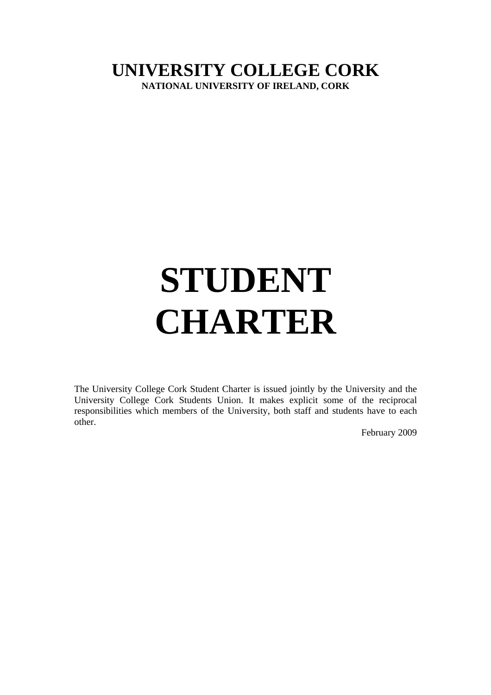# **UNIVERSITY COLLEGE CORK NATIONAL UNIVERSITY OF IRELAND, CORK**

# **STUDENT CHARTER**

The University College Cork Student Charter is issued jointly by the University and the University College Cork Students Union. It makes explicit some of the reciprocal responsibilities which members of the University, both staff and students have to each other.

February 2009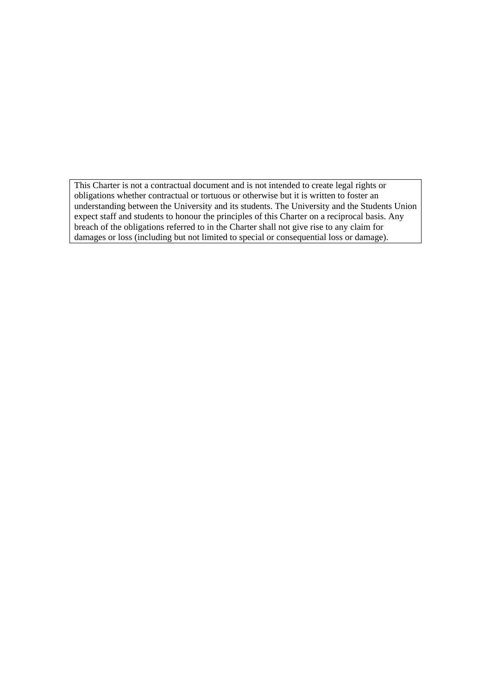This Charter is not a contractual document and is not intended to create legal rights or obligations whether contractual or tortuous or otherwise but it is written to foster an understanding between the University and its students. The University and the Students Union expect staff and students to honour the principles of this Charter on a reciprocal basis. Any breach of the obligations referred to in the Charter shall not give rise to any claim for damages or loss (including but not limited to special or consequential loss or damage).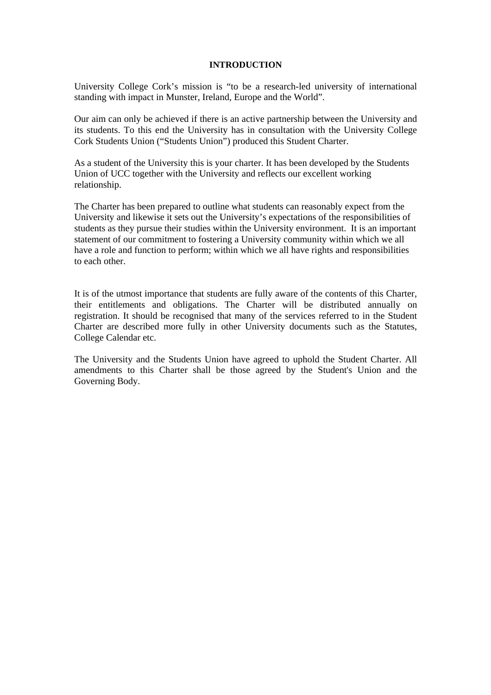#### **INTRODUCTION**

University College Cork's mission is "to be a research-led university of international standing with impact in Munster, Ireland, Europe and the World".

Our aim can only be achieved if there is an active partnership between the University and its students. To this end the University has in consultation with the University College Cork Students Union ("Students Union") produced this Student Charter.

As a student of the University this is your charter. It has been developed by the Students Union of UCC together with the University and reflects our excellent working relationship.

The Charter has been prepared to outline what students can reasonably expect from the University and likewise it sets out the University's expectations of the responsibilities of students as they pursue their studies within the University environment. It is an important statement of our commitment to fostering a University community within which we all have a role and function to perform; within which we all have rights and responsibilities to each other.

It is of the utmost importance that students are fully aware of the contents of this Charter, their entitlements and obligations. The Charter will be distributed annually on registration. It should be recognised that many of the services referred to in the Student Charter are described more fully in other University documents such as the Statutes, College Calendar etc.

The University and the Students Union have agreed to uphold the Student Charter. All amendments to this Charter shall be those agreed by the Student's Union and the Governing Body.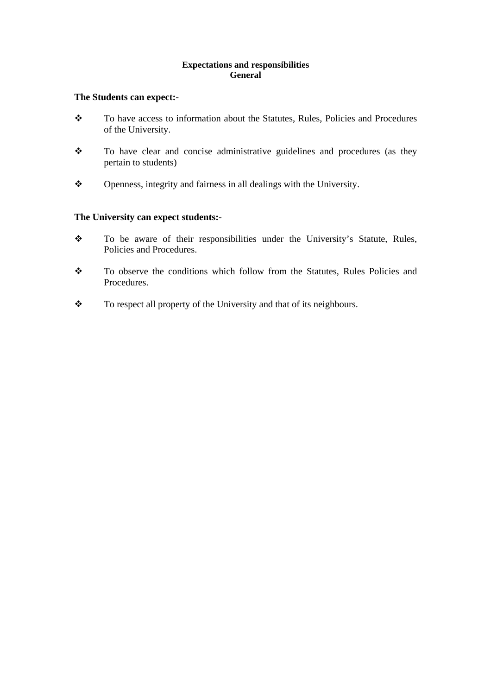# **Expectations and responsibilities General**

# **The Students can expect:-**

- \* To have access to information about the Statutes, Rules, Policies and Procedures of the University.
- \* To have clear and concise administrative guidelines and procedures (as they pertain to students)
- \* Openness, integrity and fairness in all dealings with the University.

# **The University can expect students:-**

- \* To be aware of their responsibilities under the University's Statute, Rules, Policies and Procedures.
- \* To observe the conditions which follow from the Statutes, Rules Policies and Procedures.
- \* To respect all property of the University and that of its neighbours.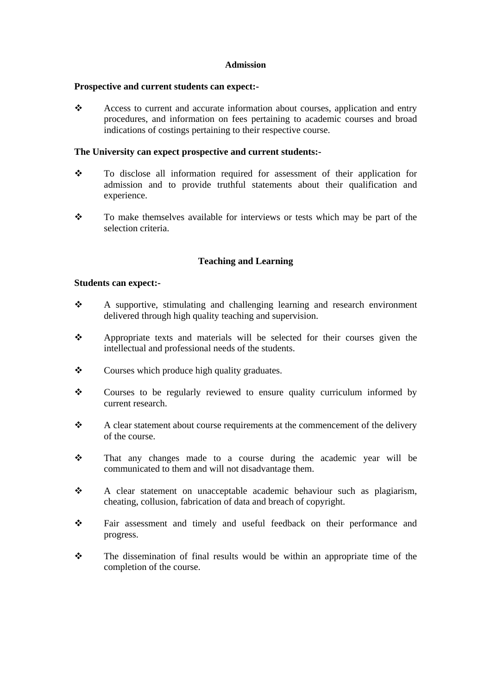#### **Admission**

#### **Prospective and current students can expect:-**

\* Access to current and accurate information about courses, application and entry procedures, and information on fees pertaining to academic courses and broad indications of costings pertaining to their respective course.

### **The University can expect prospective and current students:-**

- To disclose all information required for assessment of their application for admission and to provide truthful statements about their qualification and experience.
- \* To make themselves available for interviews or tests which may be part of the selection criteria.

# **Teaching and Learning**

# **Students can expect:-**

- A supportive, stimulating and challenging learning and research environment delivered through high quality teaching and supervision.
- Appropriate texts and materials will be selected for their courses given the intellectual and professional needs of the students.
- \* Courses which produce high quality graduates.
- Courses to be regularly reviewed to ensure quality curriculum informed by current research.
- \* A clear statement about course requirements at the commencement of the delivery of the course.
- That any changes made to a course during the academic year will be communicated to them and will not disadvantage them.
- A clear statement on unacceptable academic behaviour such as plagiarism, cheating, collusion, fabrication of data and breach of copyright.
- Fair assessment and timely and useful feedback on their performance and progress.
- The dissemination of final results would be within an appropriate time of the completion of the course.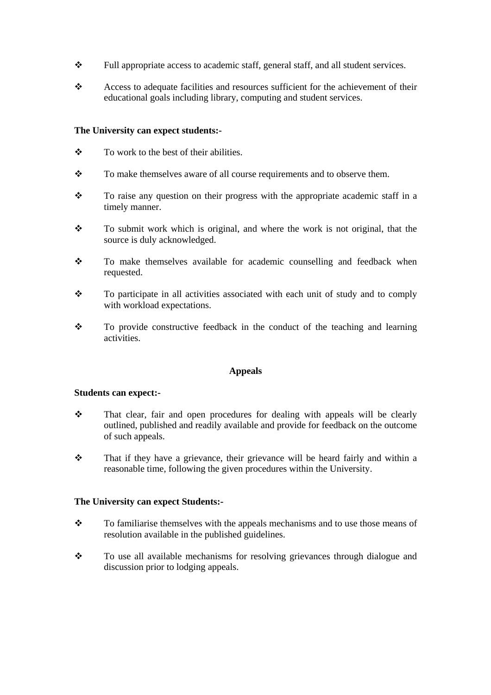- $\mathbf{\hat{P}}$  Full appropriate access to academic staff, general staff, and all student services.
- \* Access to adequate facilities and resources sufficient for the achievement of their educational goals including library, computing and student services.

# **The University can expect students:-**

- $\bullet$  To work to the best of their abilities.
- \* To make themselves aware of all course requirements and to observe them.
- $\mathbf{\hat{P}}$  To raise any question on their progress with the appropriate academic staff in a timely manner.
- \* To submit work which is original, and where the work is not original, that the source is duly acknowledged.
- To make themselves available for academic counselling and feedback when requested.
- $\div$  To participate in all activities associated with each unit of study and to comply with workload expectations.
- \* To provide constructive feedback in the conduct of the teaching and learning activities.

### **Appeals**

#### **Students can expect:-**

- That clear, fair and open procedures for dealing with appeals will be clearly outlined, published and readily available and provide for feedback on the outcome of such appeals.
- $\mathbf{\hat{P}}$  That if they have a grievance, their grievance will be heard fairly and within a reasonable time, following the given procedures within the University.

#### **The University can expect Students:-**

- To familiarise themselves with the appeals mechanisms and to use those means of resolution available in the published guidelines.
- To use all available mechanisms for resolving grievances through dialogue and discussion prior to lodging appeals.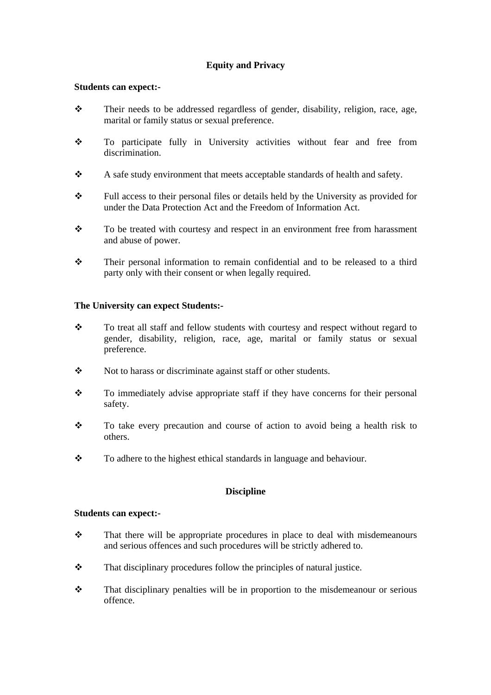# **Equity and Privacy**

### **Students can expect:-**

- $\mathbf{\hat{P}}$  Their needs to be addressed regardless of gender, disability, religion, race, age, marital or family status or sexual preference.
- To participate fully in University activities without fear and free from discrimination.
- \* A safe study environment that meets acceptable standards of health and safety.
- Full access to their personal files or details held by the University as provided for under the Data Protection Act and the Freedom of Information Act.
- \* To be treated with courtesy and respect in an environment free from harassment and abuse of power.
- $\mathbf{\hat{P}}$  Their personal information to remain confidential and to be released to a third party only with their consent or when legally required.

# **The University can expect Students:-**

- \* To treat all staff and fellow students with courtesy and respect without regard to gender, disability, religion, race, age, marital or family status or sexual preference.
- Not to harass or discriminate against staff or other students.
- $\mathbf{\hat{P}}$  To immediately advise appropriate staff if they have concerns for their personal safety.
- \* To take every precaution and course of action to avoid being a health risk to others.
- \* To adhere to the highest ethical standards in language and behaviour.

# **Discipline**

#### **Students can expect:-**

- $\mathbf{\hat{P}}$  That there will be appropriate procedures in place to deal with misdemeanours and serious offences and such procedures will be strictly adhered to.
- $\mathbf{\hat{P}}$  That disciplinary procedures follow the principles of natural justice.
- That disciplinary penalties will be in proportion to the misdemeanour or serious offence.